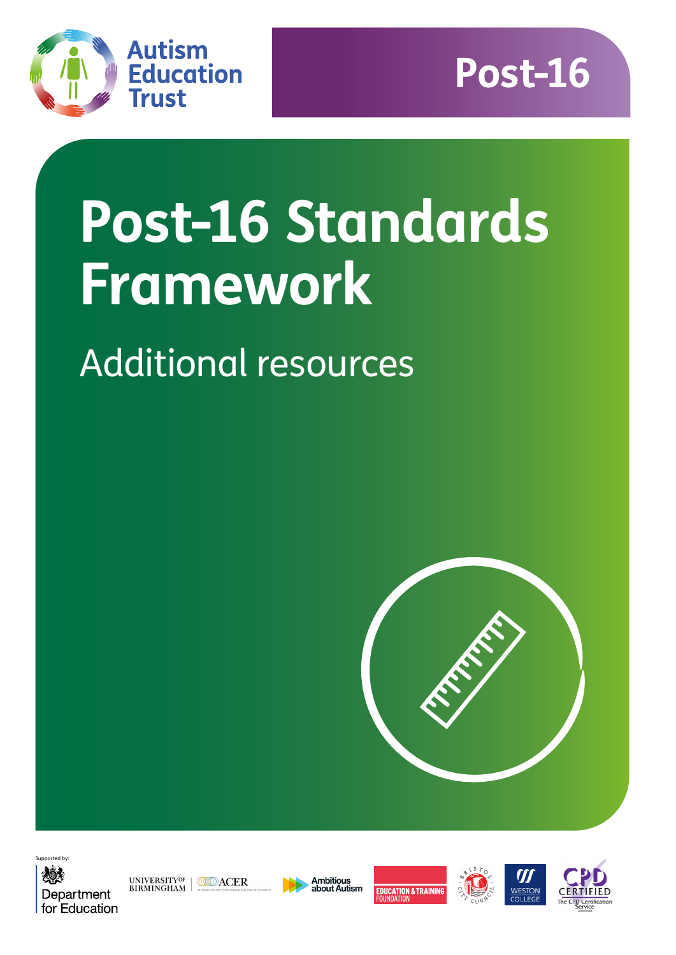



# **Post-16 Standards Framework**

## Additional resources





UNIVERSITYOF MEDIACER



**Ambitious<br>about Autism** 





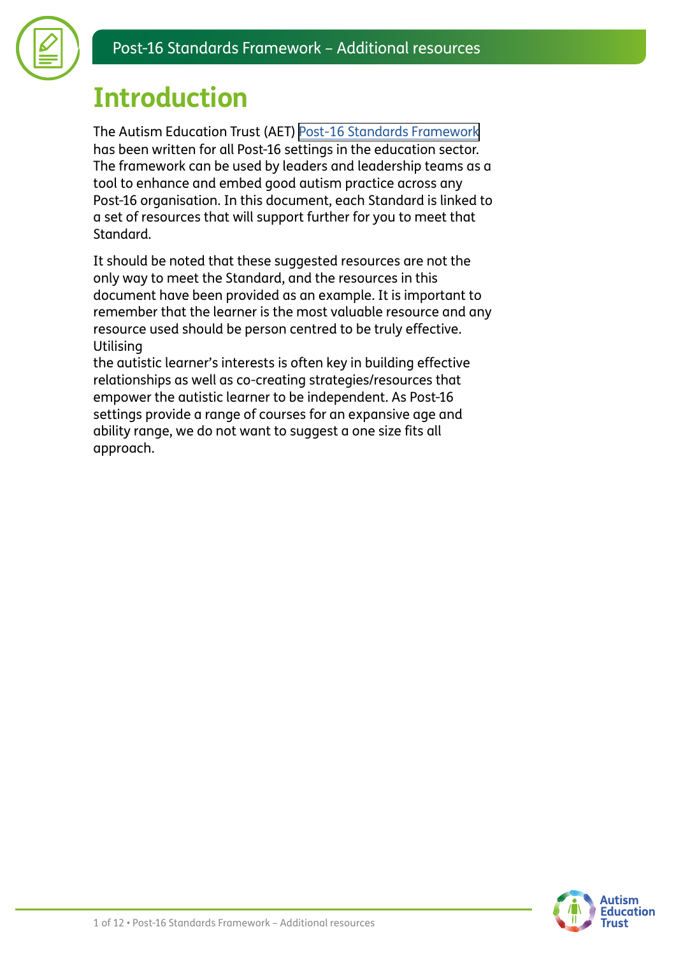

### **Introduction**

The Autism Education Trust (AET) [Post-16 Standards Framework](https://www.autismeducationtrust.org.uk/resources/post-16-standards-framework) has been written for all Post-16 settings in the education sector. The framework can be used by leaders and leadership teams as a tool to enhance and embed good autism practice across any Post-16 organisation. In this document, each Standard is linked to a set of resources that will support further for you to meet that Standard.

It should be noted that these suggested resources are not the only way to meet the Standard, and the resources in this document have been provided as an example. It is important to remember that the learner is the most valuable resource and any resource used should be person centred to be truly effective. **Utilising** 

the autistic learner's interests is often key in building effective relationships as well as co-creating strategies/resources that empower the autistic learner to be independent. As Post-16 settings provide a range of courses for an expansive age and ability range, we do not want to suggest a one size fits all approach.

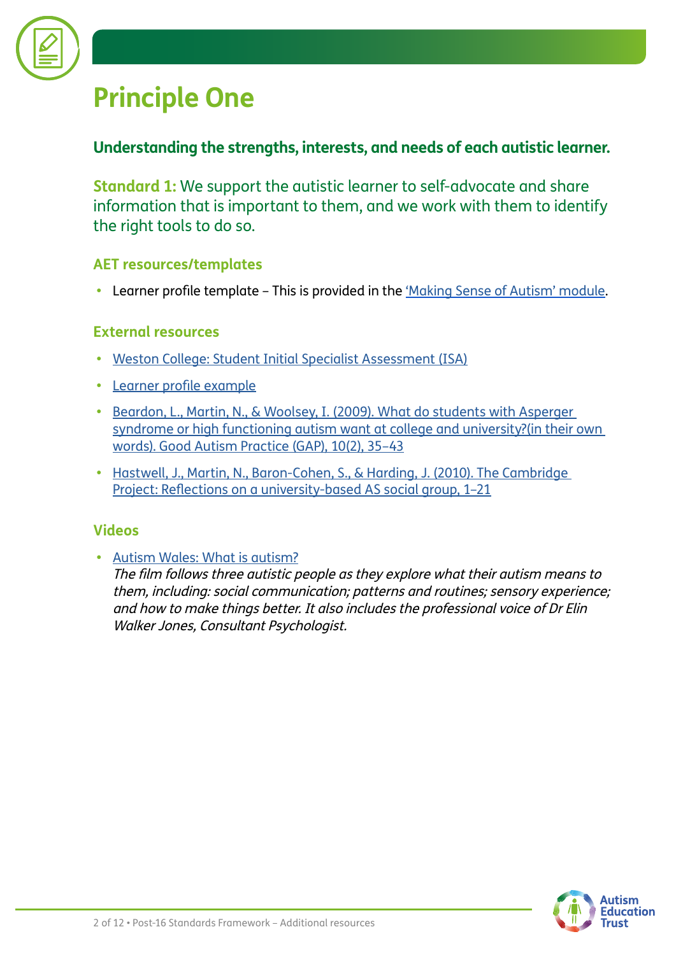

### **Principle One**

#### **Understanding the strengths, interests, and needs of each autistic learner.**

**Standard 1:** We support the autistic learner to self-advocate and share information that is important to them, and we work with them to identify the right tools to do so.

#### **AET resources/templates**

**•** Learner profile template – This is provided in the ['Making Sense of Autism' module.](https://www.autismeducationtrust.org.uk/training-content/post-16-making-sense-autism)

#### **External resources**

- **•** [Weston College: Student Initial Specialist Assessment \(ISA\)](https://www.autismeducationtrust.org.uk/sites/default/files/2022-01/isa-student.docx)
- **•** [Learner](https://www.autismeducationtrust.org.uk/sites/default/files/2022-01/Learner-Profile-Post-16-Example.docx) [profile example](https://www.autismeducationtrust.org.uk/sites/default/files/2022-01/Learner-Profile-Post-16-Example.docx)
- **•** [Beardon, L., Martin, N., & Woolsey, I. \(2009\). What do students with Asperger](https://www.autismeducationtrust.org.uk/sites/default/files/2022-01/beardon-et-al-oct-2009-autistic-perspective.pdf)  [syndrome or high functioning autism want at college and university?\(in their own](https://www.autismeducationtrust.org.uk/sites/default/files/2022-01/beardon-et-al-oct-2009-autistic-perspective.pdf)  [words\). Good Autism Practice \(GAP\), 10\(2\), 35–43](https://www.autismeducationtrust.org.uk/sites/default/files/2022-01/beardon-et-al-oct-2009-autistic-perspective.pdf)
- **•** [Hastwell, J., Martin, N., Baron-Cohen, S., & Harding, J. \(2010\). The Cambridge](https://www.autismeducationtrust.org.uk/sites/default/files/2022-01/the-cambridge-project.pdf)  [Project: Reflections on a university-based AS social group, 1–21](https://www.autismeducationtrust.org.uk/sites/default/files/2022-01/the-cambridge-project.pdf)

#### **Videos**

**•** [Autism Wales: What is autism?](https://autismwales.org/en/i-am-autistic/education/further-education/)

The film follows three autistic people as they explore what their autism means to them, including: social communication; patterns and routines; sensory experience; and how to make things better. It also includes the professional voice of Dr Elin Walker Jones, Consultant Psychologist.

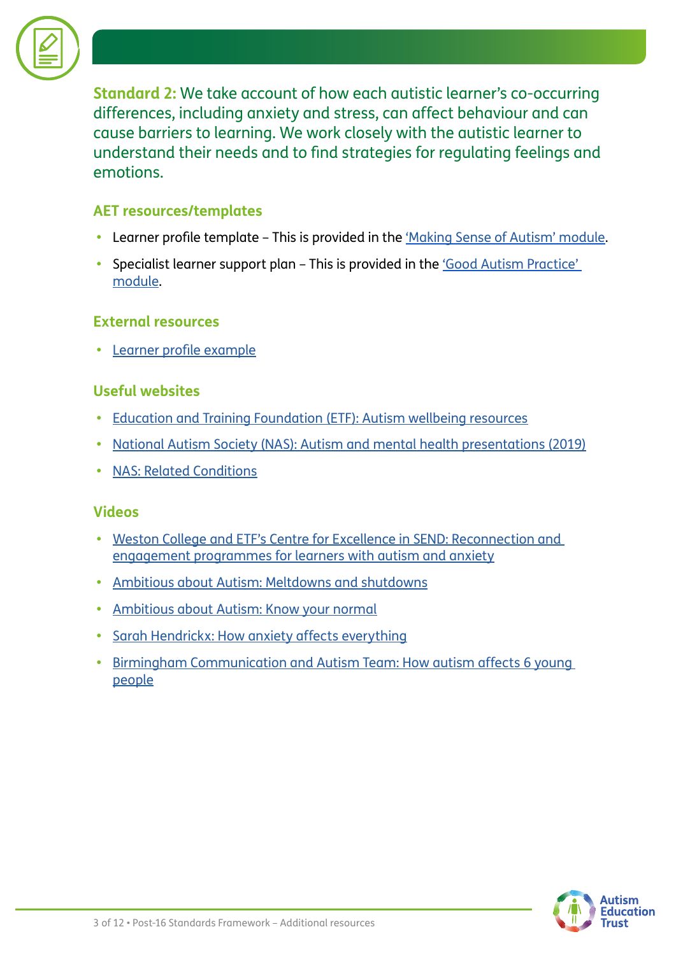

**Standard 2:** We take account of how each autistic learner's co-occurring differences, including anxiety and stress, can affect behaviour and can cause barriers to learning. We work closely with the autistic learner to understand their needs and to find strategies for regulating feelings and emotions.

#### **AET resources/templates**

- **•** Learner profile template This is provided in the ['Making Sense of Autism' module.](https://www.autismeducationtrust.org.uk/training-content/post-16-making-sense-autism)
- Specialist learner support plan This is provided in the *'Good Autism Practice'* [module.](https://www.autismeducationtrust.org.uk/training-content/post-16-good-autism-practice)

#### **External resources**

**•** [Learner profile example](https://www.autismeducationtrust.org.uk/sites/default/files/2022-01/Learner-Profile-Post-16-Example.docx)

#### **Useful websites**

- **•** [Education and Training Foundation \(ETF\): Autism wellbeing resources](https://send.excellencegateway.org.uk/autism)
- **•** [National Autism Society \(NAS\): Autism and mental health presentations \(2019\)](https://www.autism.org.uk/what-we-do/professional-development/past-conferences/mental-health-2019-presentations)
- **•** [NAS: Related Conditions](https://www.autism.org.uk/advice-and-guidance/topics/related-conditions/related-conditions/all-audiences)

#### **Videos**

- **•** [Weston College and ETF's Centre for Excellence in SEND: Reconnection and](https://www.youtube.com/watch?v=EKDe1Iqkbog)  [engagement programmes for learners with autism and anxiety](https://www.youtube.com/watch?v=EKDe1Iqkbog)
- **•** [Ambitious about Autism: Meltdowns and shutdowns](https://www.ambitiousaboutautism.org.uk/information-about-autism/behaviour/meltdowns-and-shutdowns)
- **•** [Ambitious about Autism: Know your normal](https://www.ambitiousaboutautism.org.uk/what-we-do/youth-participation/youth-led-toolkits/know-your-normal)
- **•** [Sarah Hendrickx: How anxiety affects everything](https://www.youtube.com/watch?v=rPD_yzMHJls)
- **•** [Birmingham Communication and Autism Team: How autism affects 6 young](https://www.youtube.com/watch?v=8RStb8OIAu0)  [people](https://www.youtube.com/watch?v=8RStb8OIAu0)

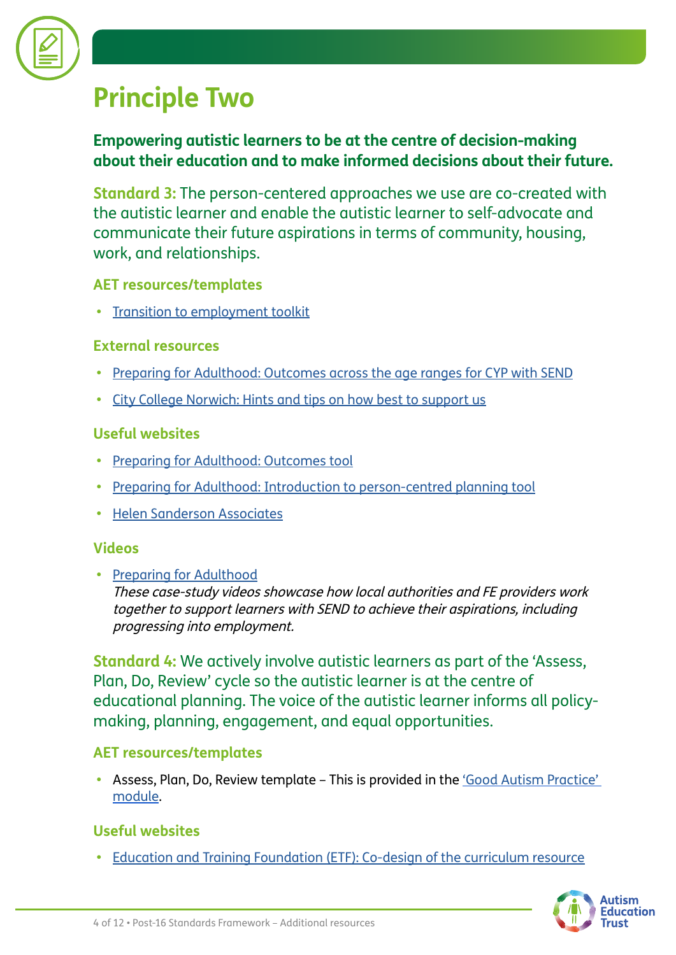

### **Principle Two**

#### **Empowering autistic learners to be at the centre of decision-making about their education and to make informed decisions about their future.**

**Standard 3:** The person-centered approaches we use are co-created with the autistic learner and enable the autistic learner to self-advocate and communicate their future aspirations in terms of community, housing, work, and relationships.

#### **AET resources/templates**

**•** [Transition to employment toolkit](https://www.autismeducationtrust.org.uk/resources/transition-employment-toolkit)

#### **External resources**

- **•** [Preparing for Adulthood: Outcomes across the age ranges for CYP with SEND](https://www.autismeducationtrust.org.uk/sites/default/files/2022-01/preparing-for-adulthood.pdf)
- **•** [City College Norwich: Hints and tips on how best to support us](https://www.autismeducationtrust.org.uk/sites/default/files/2022-01/hints-and-tips-on-how-best-to-support-us-developed-by-learners-from-city-college-norwich1.pdf)

#### **Useful websites**

- **•** [Preparing for Adulthood: Outcomes tool](https://www.preparingforadulthood.org.uk/downloads/education-health-and-care-planning/pfa-outcomes-tool.htm)
- **•** [Preparing for Adulthood: Introduction to person-centred planning tool](https://www.preparingforadulthood.org.uk/downloads/person-centred-planning/introduction-to-person-centred-planning-tools.htm)
- **•** [Helen Sanderson Associates](https://helensandersonassociates.co.uk/person-centred-practice/person-centred-thinking-tools/)

#### **Videos**

**•** [Preparing for Adulthood](https://www.preparingforadulthood.org.uk/downloads/employment/case-study-making-the-send-reforms-work.htm) These case-study videos showcase how local authorities and FE providers work together to support learners with SEND to achieve their aspirations, including progressing into employment.

**Standard 4:** We actively involve autistic learners as part of the 'Assess, Plan, Do, Review' cycle so the autistic learner is at the centre of educational planning. The voice of the autistic learner informs all policymaking, planning, engagement, and equal opportunities.

#### **AET resources/templates**

**•** Assess, Plan, Do, Review template – This is provided in the ['Good Autism Practice'](http://www.autismeducationtrust.org.uk/training-content/post-16-good-autism-practice)  [module.](http://www.autismeducationtrust.org.uk/training-content/post-16-good-autism-practice)

#### **Useful websites**

**•** [Education and Training Foundation \(ETF\): Co-design of the curriculum resource](https://send.excellencegateway.org.uk/teaching-and-learning)

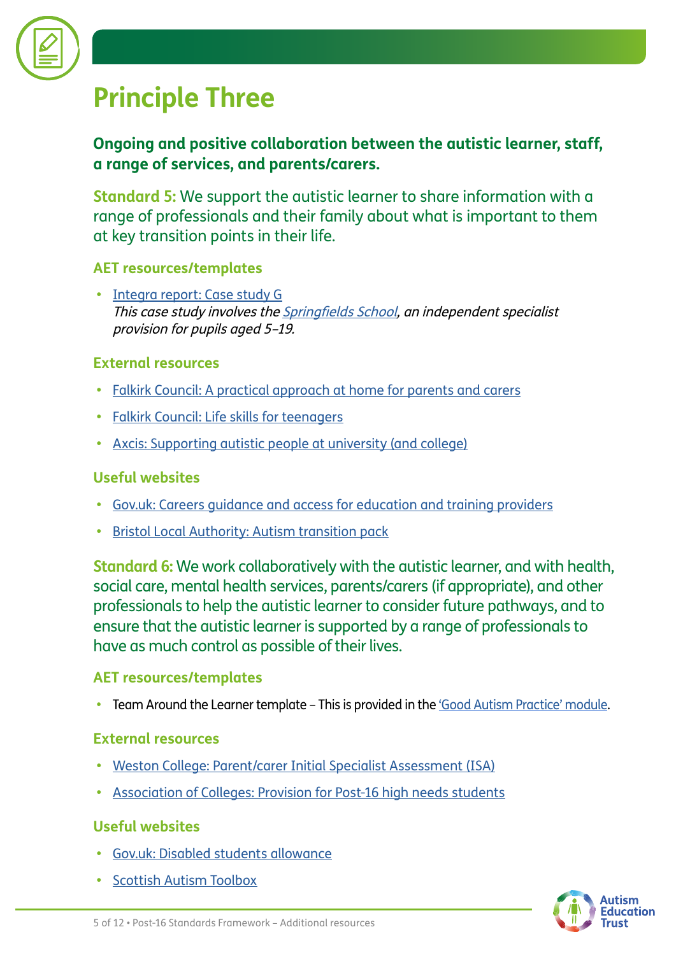

### **Principle Three**

#### **Ongoing and positive collaboration between the autistic learner, staff, a range of services, and parents/carers.**

**Standard 5:** We support the autistic learner to share information with a range of professionals and their family about what is important to them at key transition points in their life.

#### **AET resources/templates**

**•** [Integra report: Case study G](http://www.autismeducationtrust.org.uk/sites/default/files/2022-01/Case-Study-F-Phoenix-School.pdf) This case study involves the **Springfields School**, an independent specialist provision for pupils aged 5–19.

#### **External resources**

- **•** [Falkirk Council: A practical approach at home for parents and carers](https://www.falkirk.gov.uk/services/social-care/disabilities/docs/young-people/Autistic%20Spectrum%20Disorder.pdf?v=201906271131)
- **•** [Falkirk Council: Life skills for teenagers](https://www.falkirk.gov.uk/services/social-care/disabilities/docs/young-people/Life%20Skills%20for%20Teenagers.pdf?v=201610191048)
- **•** [Axcis: Supporting autistic people at university \(and college\)](https://www.autismeducationtrust.org.uk/sites/default/files/2022-01/support-at-university1.pdf)

#### **Useful websites**

- **•** [Gov.uk: Careers guidance and access for education and training providers](https://www.gov.uk/government/publications/careers-guidance-provision-for-young-people-in-schools)
- **[Bristol Local Authority: Autism transition pack](https://www.bristol.gov.uk/web/bristol-local-offer/professionals/send-autism-support-documents/autism-transition-packs)**

**Standard 6:** We work collaboratively with the autistic learner, and with health, social care, mental health services, parents/carers (if appropriate), and other professionals to help the autistic learner to consider future pathways, and to ensure that the autistic learner is supported by a range of professionals to have as much control as possible of their lives.

#### **AET resources/templates**

**•** Team Around the Learner template – This is provided in the ['Good Autism Practice' module.](https://www.autismeducationtrust.org.uk/training-content/post-16-good-autism-practice)

#### **External resources**

- **•** [Weston College: Parent/carer Initial Specialist Assessment \(ISA\)](https://www.autismeducationtrust.org.uk/sites/default/files/2022-01/isa-parent.docx)
- **•** [Association of Colleges: Provision for Post-16 high needs students](https://www.autismeducationtrust.org.uk/sites/default/files/2022-01/provision-for-p16-high-needs-students.pdf)

#### **Useful websites**

- **•** [Gov.uk: Disabled students allowance](https://www.gov.uk/disabled-students-allowance-dsa)
- **•** [Scottish Autism Toolbox](http://www.autismtoolbox.co.uk/post-school)

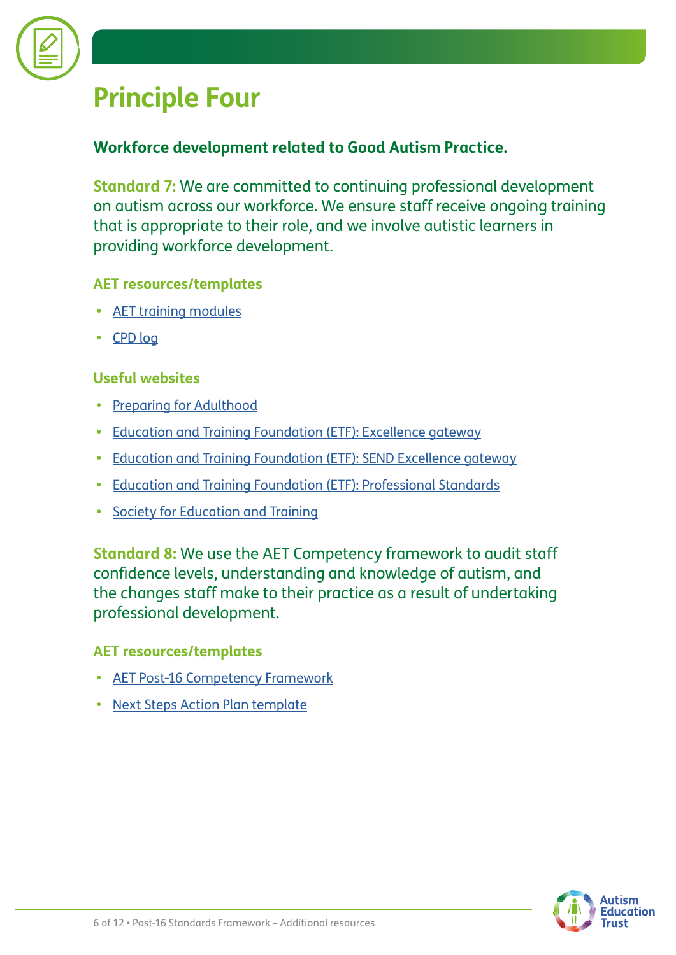

### **Principle Four**

#### **Workforce development related to Good Autism Practice.**

**Standard 7:** We are committed to continuing professional development on autism across our workforce. We ensure staff receive ongoing training that is appropriate to their role, and we involve autistic learners in providing workforce development.

#### **AET resources/templates**

- **•** [AET training modules](https://www.autismeducationtrust.org.uk/training)
- **•** [CPD log](https://www.autismeducationtrust.org.uk/sites/default/files/2022-01/CPD-Log-S%26C.docx)

#### **Useful websites**

- **•** [Preparing for Adulthood](https://www.preparingforadulthood.org.uk/)
- **•** [Education and Training Foundation \(ETF\): Excellence gateway](http://www.excellencegateway.org.uk)
- **•** [Education and Training Foundation \(ETF\): SEND Excellence gateway](https://send.excellencegateway.org.uk/centres-for-excellence)
- **•** [Education and Training Foundation \(ETF\): Professional Standards](https://www.et-foundation.co.uk/supporting/professional-standards/)
- **•** [Society for Education and Training](https://set.et-foundation.co.uk/)

**Standard 8:** We use the AET Competency framework to audit staff confidence levels, understanding and knowledge of autism, and the changes staff make to their practice as a result of undertaking professional development.

#### **AET resources/templates**

- **•** [AET Post-16 Competency Framework](https://www.autismeducationtrust.org.uk/resources/post-16-competency-framework)
- **[Next Steps Action Plan template](https://www.autismeducationtrust.org.uk/sites/default/files/2022-01/post16-next-steps-action-plan.docx)**

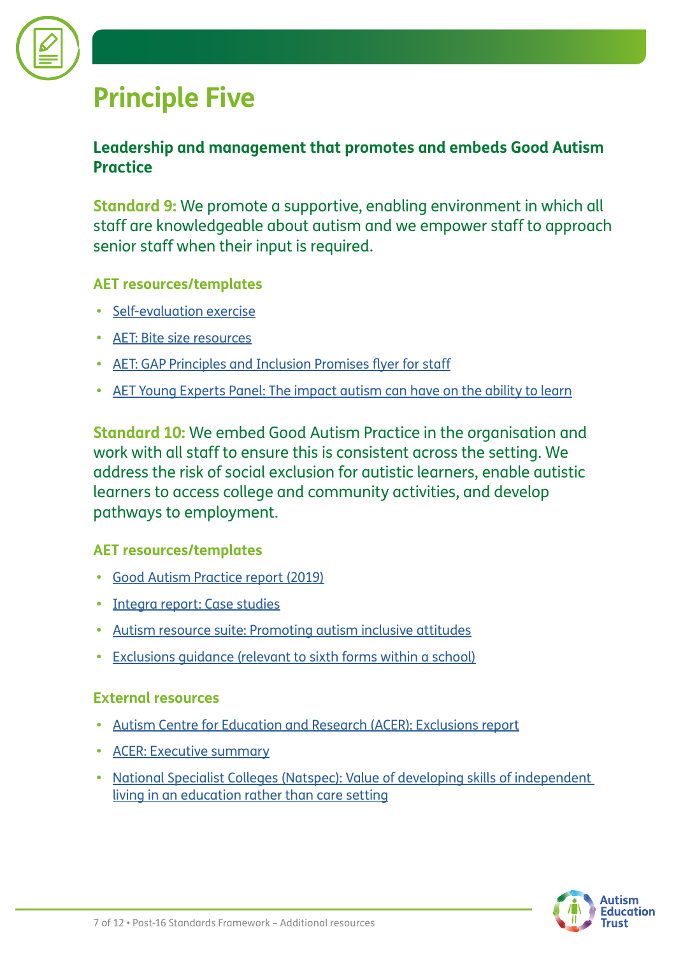

### **Principle Five**

#### **Leadership and management that promotes and embeds Good Autism Practice**

**Standard 9:** We promote a supportive, enabling environment in which all staff are knowledgeable about autism and we empower staff to approach senior staff when their input is required.

#### **AET resources/templates**

- **•** [Self-evaluation exercise](https://www.autismeducationtrust.org.uk/sites/default/files/2022-01/self-evaluation-exercise-1.docx)
- **•** [AET: Bite size resources](https://www.autismeducationtrust.org.uk/site-search?keys=bitesize)
- **•** [AET: GAP Principles and Inclusion Promises flyer for staff](http://www.autismeducationtrust.org.uk/sites/default/files/2022-01/GAP-Principles_Inclusion%20Promises_Post_16_Flyer.pdf)
- **•** [AET Young Experts Panel: The impact autism can have on the ability to learn](https://youtu.be/WoSxT01JAYM)

**Standard 10:** We embed Good Autism Practice in the organisation and work with all staff to ensure this is consistent across the setting. We address the risk of social exclusion for autistic learners, enable autistic learners to access college and community activities, and develop pathways to employment.

#### **AET resources/templates**

- **•** [Good Autism Practice report \(2019\)](https://www.autismeducationtrust.org.uk/resources/good-autism-practice-guidance)
- **•** [Integra report: Case studies](https://www.autismeducationtrust.org.uk/resources/good-autism-practice-guidance)
- **•** [Autism resource suite: Promoting autism inclusive attitudes](https://www.autismeducationtrust.org.uk/resources/autism-resource-suite)
- **•** [Exclusions guidance \(relevant to sixth forms within a school\)](https://www.autismeducationtrust.org.uk/exclusions)

#### **External resources**

- **•** [Autism Centre for Education and Research \(ACER\): Exclusions report](https://www.autismeducationtrust.org.uk/sites/default/files/2022-01/exclusion-research-report_final.pdf)
- **•** [ACER: Executive summary](https://www.autismeducationtrust.org.uk/sites/default/files/2022-01/executive-summary-exclusion-report_final.pdf)
- **•** [National Specialist Colleges \(Natspec\): Value of developing skills of independent](https://www.autismeducationtrust.org.uk/sites/default/files/2022-01/value-of-developing-skills-of-independent-living.pdf)  [living in an education rather than care setting](https://www.autismeducationtrust.org.uk/sites/default/files/2022-01/value-of-developing-skills-of-independent-living.pdf)

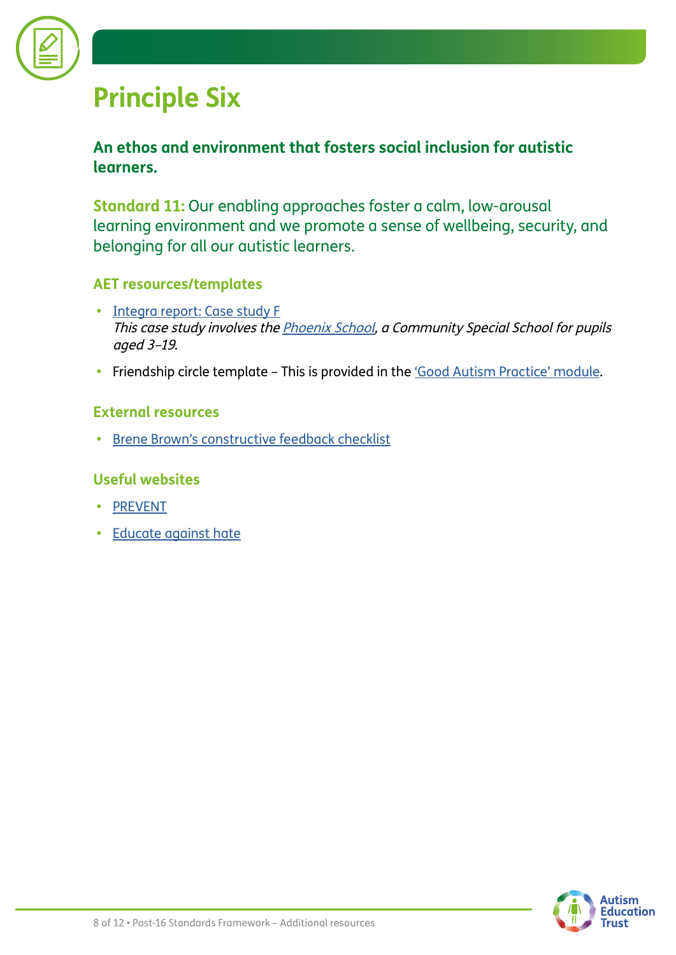

### **Principle Six**

#### **An ethos and environment that fosters social inclusion for autistic learners.**

**Standard 11:** Our enabling approaches foster a calm, low-arousal learning environment and we promote a sense of wellbeing, security, and belonging for all our autistic learners.

#### **AET resources/templates**

- **•** [Integra report: Case study F](https://www.autismeducationtrust.org.uk/sites/default/files/2022-01/Case-Study-G-Springfields-School.pdf) This case study involves the [Phoenix School,](https://www.phoenix.towerhamlets.sch.uk/thamlets/primary/phoenix) a Community Special School for pupils aged 3–19.
- Friendship circle template This is provided in the ['Good Autism Practice' module](https://www.autismeducationtrust.org.uk/training-content/post-16-good-autism-practice).

#### **External resources**

**•** [Brene Brown's constructive feedback checklist](https://www.autismeducationtrust.org.uk/sites/default/files/2022-01/constructive-feedback-checklist-brene-brown.pdf)

#### **Useful websites**

- **•** [PREVENT](https://preventforfeandtraining.org.uk/)
- **•** [Educate against hate](https://educateagainsthate.com/teachers/?gclid=EAIaIQobChMI7_7ukIDB2QIVy7ftCh224wgREAAYASAAEgIP0_D_BwE)

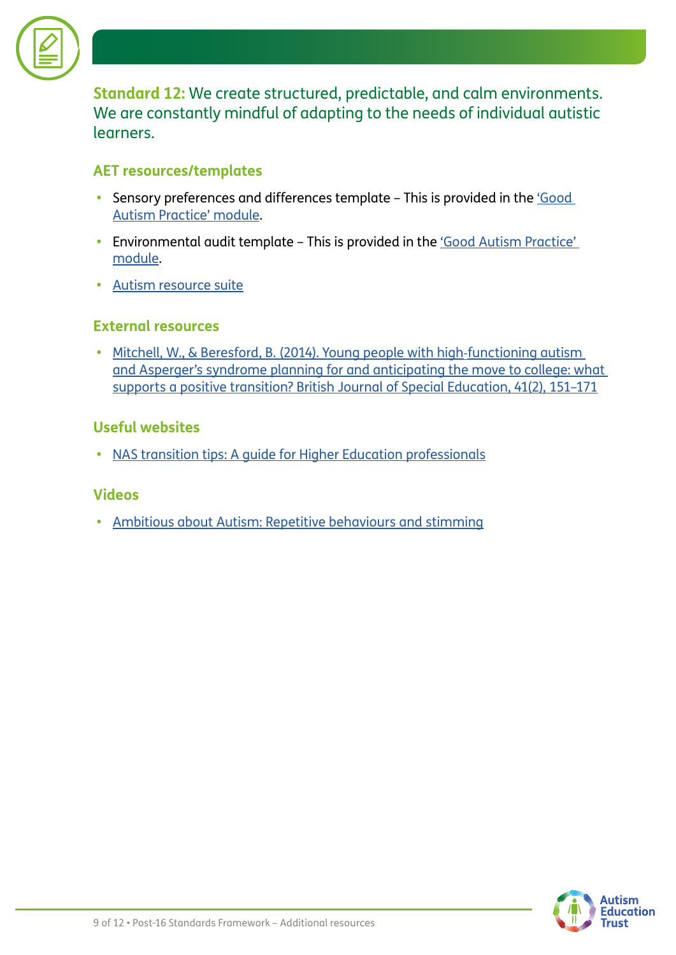

**Standard 12:** We create structured, predictable, and calm environments. We are constantly mindful of adapting to the needs of individual autistic learners.

#### **AET resources/templates**

- **•** Sensory preferences and differences template This is provided in the ['Good](https://www.autismeducationtrust.org.uk/training-content/post-16-good-autism-practice)  [Autism Practice' module.](https://www.autismeducationtrust.org.uk/training-content/post-16-good-autism-practice)
- Environmental audit template This is provided in the 'Good Autism Practice' [module.](https://www.autismeducationtrust.org.uk/training-content/post-16-good-autism-practice)
- **•** [Autism resource suite](https://www.autismeducationtrust.org.uk/resources/autism-resource-suite)

#### **External resources**

**•** [Mitchell, W., & Beresford, B. \(2014\). Young people with high](https://linkprotect.cudasvc.com/url?a=https%3a%2f%2feprints.whiterose.ac.uk%2f80103%2f1%2fWMbjse13june2014.pdf&c=E,1,DG6478Nk_sugUQekaBA6zniMn28THnxGOdvJSZctQlDOOEgEjKIXAvJ3wwkCCCdCTXoML4of06XpPkHMvutPNCevU9AmW7vj4rfOuQLhP5BnZuf9&typo=1)‐functioning autism [and Asperger's syndrome planning for and anticipating the move to college: what](https://linkprotect.cudasvc.com/url?a=https%3a%2f%2feprints.whiterose.ac.uk%2f80103%2f1%2fWMbjse13june2014.pdf&c=E,1,DG6478Nk_sugUQekaBA6zniMn28THnxGOdvJSZctQlDOOEgEjKIXAvJ3wwkCCCdCTXoML4of06XpPkHMvutPNCevU9AmW7vj4rfOuQLhP5BnZuf9&typo=1)  [supports a positive transition? British Journal of Special Education, 41\(2\), 151–171](https://linkprotect.cudasvc.com/url?a=https%3a%2f%2feprints.whiterose.ac.uk%2f80103%2f1%2fWMbjse13june2014.pdf&c=E,1,DG6478Nk_sugUQekaBA6zniMn28THnxGOdvJSZctQlDOOEgEjKIXAvJ3wwkCCCdCTXoML4of06XpPkHMvutPNCevU9AmW7vj4rfOuQLhP5BnZuf9&typo=1)

#### **Useful websites**

**•** [NAS transition tips: A guide for Higher Education professionals](https://www.autism.org.uk/advice-and-guidance/topics/transitions/transition-tips/higher-education-professionals)

#### **Videos**

**•** [Ambitious about Autism: Repetitive behaviours and stimming](https://www.ambitiousaboutautism.org.uk/information-about-autism/behaviour/repetitive-behaviours-and-stimming)

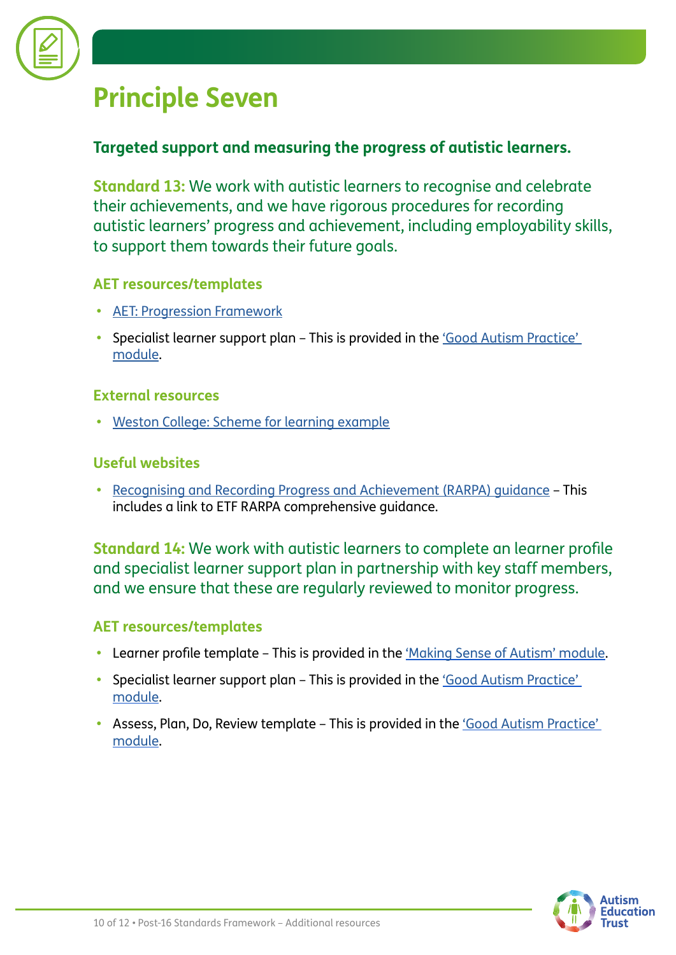

### **Principle Seven**

#### **Targeted support and measuring the progress of autistic learners.**

**Standard 13:** We work with autistic learners to recognise and celebrate their achievements, and we have rigorous procedures for recording autistic learners' progress and achievement, including employability skills, to support them towards their future goals.

#### **AET resources/templates**

- **•** [AET: Progression Framework](https://www.autismeducationtrust.org.uk/resources/progression-framework)
- Specialist learner support plan This is provided in the 'Good Autism Practice' [module.](https://www.autismeducationtrust.org.uk/training-content/post-16-good-autism-practice)

#### **External resources**

**•** [Weston College: Scheme for learning example](https://www.autismeducationtrust.org.uk/sites/default/files/2022-01/scheme-of-learning-weston.docx)

#### **Useful websites**

**•** [Recognising and Recording Progress and Achievement \(RARPA\) guidance](https://send.excellencegateway.org.uk/teaching-and-learning/rarpa) – This includes a link to ETF RARPA comprehensive guidance.

**Standard 14:** We work with autistic learners to complete an learner profile and specialist learner support plan in partnership with key staff members, and we ensure that these are regularly reviewed to monitor progress.

#### **AET resources/templates**

- **•** Learner profile template This is provided in the ['Making Sense of Autism' module.](https://www.autismeducationtrust.org.uk/training-content/post-16-making-sense-autism)
- **•** Specialist learner support plan This is provided in the ['Good Autism Practice'](https://www.autismeducationtrust.org.uk/training-content/post-16-good-autism-practice)  [module.](https://www.autismeducationtrust.org.uk/training-content/post-16-good-autism-practice)
- Assess, Plan, Do, Review template This is provided in the *'Good Autism Practice'* [module.](http://www.autismeducationtrust.org.uk/training-content/post-16-good-autism-practice)

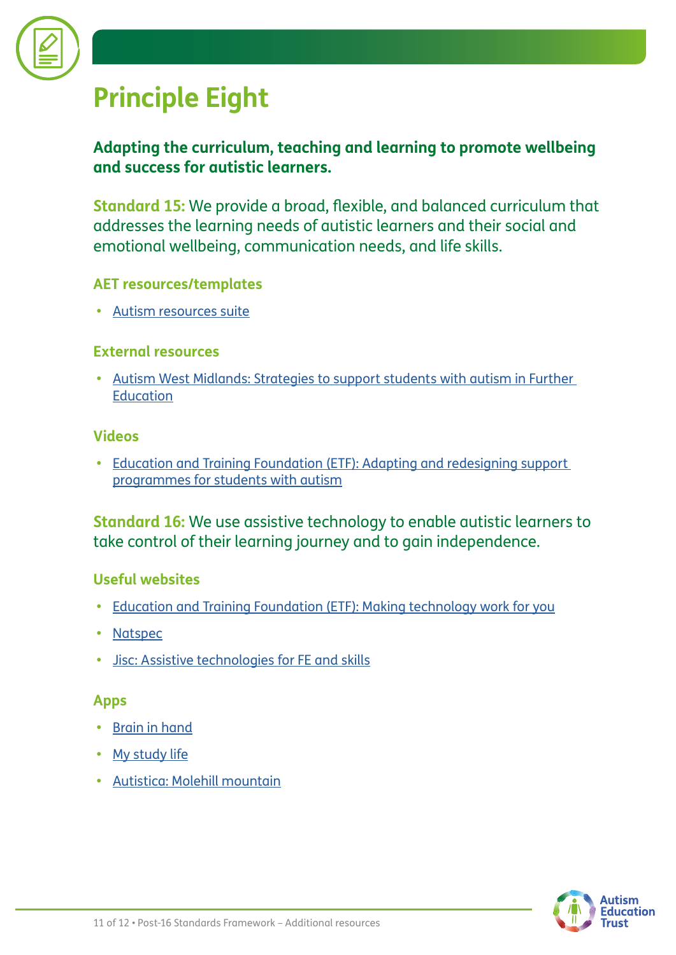

### **Principle Eight**

#### **Adapting the curriculum, teaching and learning to promote wellbeing and success for autistic learners.**

**Standard 15:** We provide a broad, flexible, and balanced curriculum that addresses the learning needs of autistic learners and their social and emotional wellbeing, communication needs, and life skills.

#### **AET resources/templates**

**•** [Autism resources suite](https://www.autismeducationtrust.org.uk/resources/autism-resource-suite)

#### **External resources**

**•** [Autism West Midlands: Strategies to support students with autism in Further](https://www.autismeducationtrust.org.uk/sites/default/files/2022-01/further_education_strategies_autism_west_midlands.pdf)  **[Education](https://www.autismeducationtrust.org.uk/sites/default/files/2022-01/further_education_strategies_autism_west_midlands.pdf)** 

#### **Videos**

**•** [Education and Training Foundation \(ETF\): Adapting and redesigning support](https://www.youtube.com/watch?v=N-iEnRgINZ4)  [programmes for students with autism](https://www.youtube.com/watch?v=N-iEnRgINZ4)

**Standard 16:** We use assistive technology to enable autistic learners to take control of their learning journey and to gain independence.

#### **Useful websites**

- **•** [Education and Training Foundation \(ETF\): Making technology work for you](https://send.excellencegateway.org.uk/digital-technologies)
- **•** [Natspec](https://natspec.org.uk/services/assistive-technology/)
- **•** [Jisc: Assistive technologies for FE and skills](http://www.jisc.ac.uk/rd/projects/assistive-technology-for-fe-and-skills)

#### **Apps**

- **•** [Brain in hand](https://braininhand.co.uk/)
- **•** [My study life](https://www.mystudylife.com/)
- **•** [Autistica: Molehill mountain](https://www.autistica.org.uk/molehill-mountain)

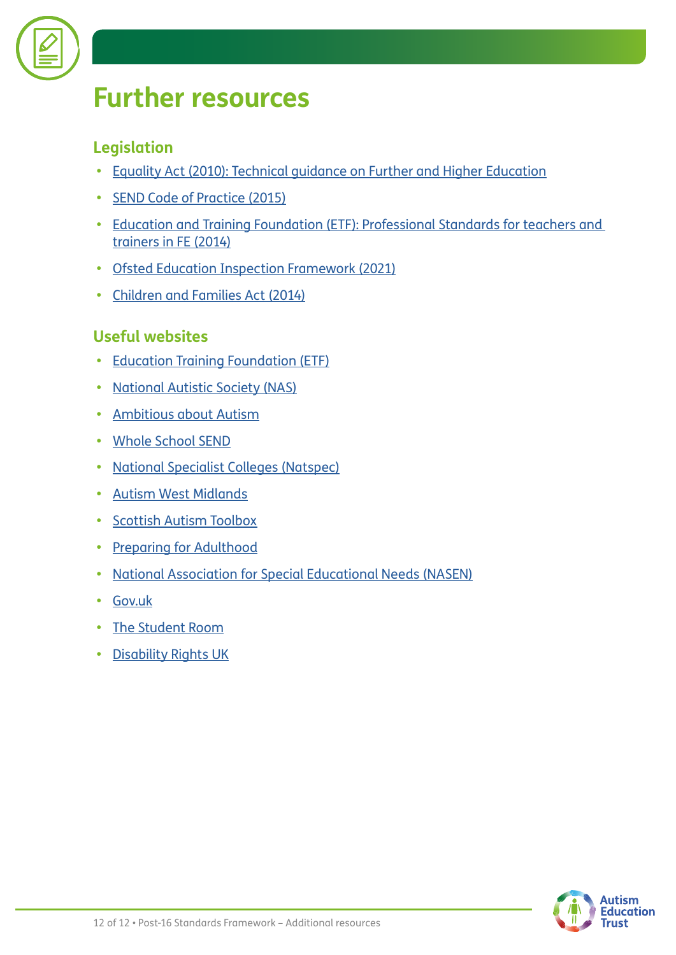

### **Further resources**

#### **Legislation**

- **•** [Equality Act \(2010\): Technical guidance on Further and Higher Education](https://www.equalityhumanrights.com/sites/default/files/equalityact2010-technicalguidance-feandhe-2015.pdf)
- **•** [SEND Code of Practice \(2015\)](https://www.gov.uk/government/publications/send-code-of-practice-0-to-25)
- **•** [Education and Training Foundation \(ETF\): Professional Standards for teachers and](https://www.et-foundation.co.uk/wp-content/uploads/2018/07/ETF_Professional_Standards_Framework_Spreads_Web.pdf)  [trainers in FE \(2014\)](https://www.et-foundation.co.uk/wp-content/uploads/2018/07/ETF_Professional_Standards_Framework_Spreads_Web.pdf)
- **•** [Ofsted Education Inspection Framework \(2021\)](https://www.gov.uk/government/publications/education-inspection-framework)
- **•** [Children and Families Act \(2014\)](https://www.legislation.gov.uk/ukpga/2014/6/contents/enacted)

#### **Useful websites**

- **•** [Education Training Foundation \(ETF\)](https://www.et-foundation.co.uk/)
- **•** [National Autistic Society \(NAS\)](https://www.autism.org.uk/?gclid=CjwKCAiAlfqOBhAeEiwAYi43F_SnWgWhzpQtzT7gUUddzAG_rGi2p7ErQ0yboiqg6erxnajujYCfyRoCqtUQAvD_BwE)
- **•** [Ambitious about Autism](https://www.ambitiousaboutautism.org.uk/?gclid=CjwKCAiAlfqOBhAeEiwAYi43F8CUvsbHCUvRGjMJU5rrjv9k9p4Uob4blZMRTtlO6GVSkATdmgqKyxoCzRoQAvD_BwE)
- **•** [Whole School SEND](https://www.sendgateway.org.uk/page/about-whole-school-send-1)
- **•** [National Specialist Colleges \(Natspec\)](https://natspec.org.uk/)
- **•** [Autism West Midlands](https://autismwestmidlands.org.uk/?gclid=CjwKCAiAlfqOBhAeEiwAYi43F5QAWAiMiQxsofEnbFmRSkbks8exRNZpbfovWMjbgFJ9NsAqDD66PBoC5N4QAvD_BwE)
- **•** [Scottish Autism Toolbox](http://www.autismtoolbox.co.uk/post-school)
- **•** [Preparing for Adulthood](https://www.preparingforadulthood.org.uk/)
- **•** [National Association for Special Educational Needs \(NASEN\)](https://nasen.org.uk/?gclid=CjwKCAiAlfqOBhAeEiwAYi43F34Zqm5TYwsHGEkiCvO8szT0z4QpL3bdETTETMTj8wyJKA5CimB5nRoCO10QAvD_BwE)
- **•** [Gov.uk](https://www.gov.uk/children-with-special-educational-needs)
- **•** [The Student Room](https://www.thestudentroom.co.uk/)
- **•** [Disability Rights UK](https://www.disabilityrightsuk.org/)